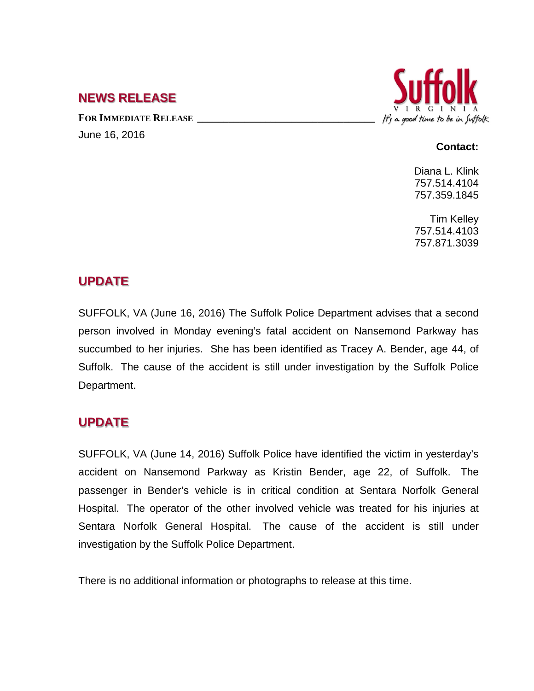## **NEWS RELEASE**

FOR **IMMEDIATE RELEASE** June 16, 2016



### **Contact:**

Diana L. Klink 757.514.4104 757.359.1845

Tim Kelley 757.514.4103 757.871.3039

# **UPDATE**

SUFFOLK, VA (June 16, 2016) The Suffolk Police Department advises that a second person involved in Monday evening's fatal accident on Nansemond Parkway has succumbed to her injuries. She has been identified as Tracey A. Bender, age 44, of Suffolk. The cause of the accident is still under investigation by the Suffolk Police Department.

# **UPDATE**

SUFFOLK, VA (June 14, 2016) Suffolk Police have identified the victim in yesterday's accident on Nansemond Parkway as Kristin Bender, age 22, of Suffolk. The passenger in Bender's vehicle is in critical condition at Sentara Norfolk General Hospital. The operator of the other involved vehicle was treated for his injuries at Sentara Norfolk General Hospital. The cause of the accident is still under investigation by the Suffolk Police Department.

There is no additional information or photographs to release at this time.